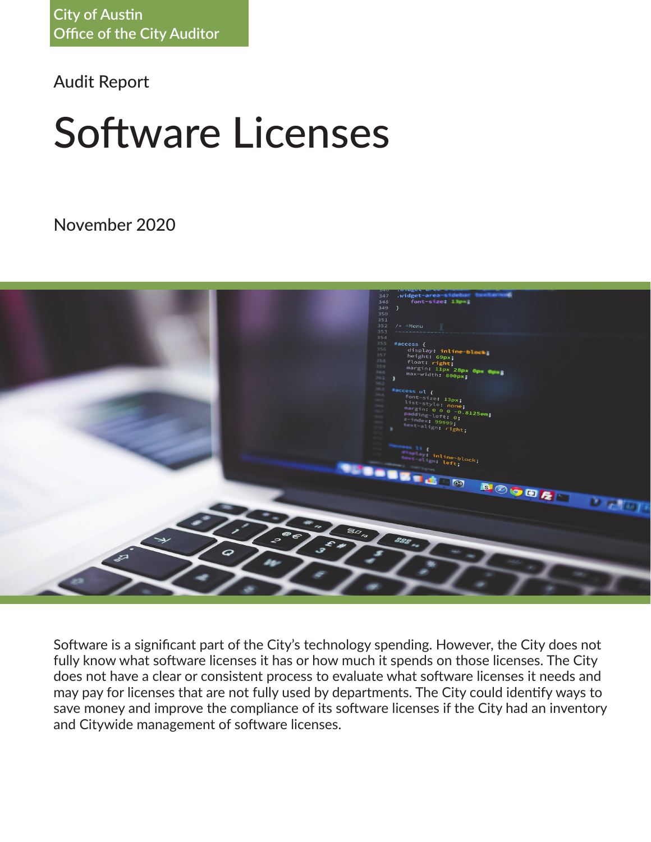Audit Report

# Software Licenses

November 2020



Software is a significant part of the City's technology spending. However, the City does not fully know what software licenses it has or how much it spends on those licenses. The City does not have a clear or consistent process to evaluate what software licenses it needs and may pay for licenses that are not fully used by departments. The City could identify ways to save money and improve the compliance of its software licenses if the City had an inventory and Citywide management of software licenses.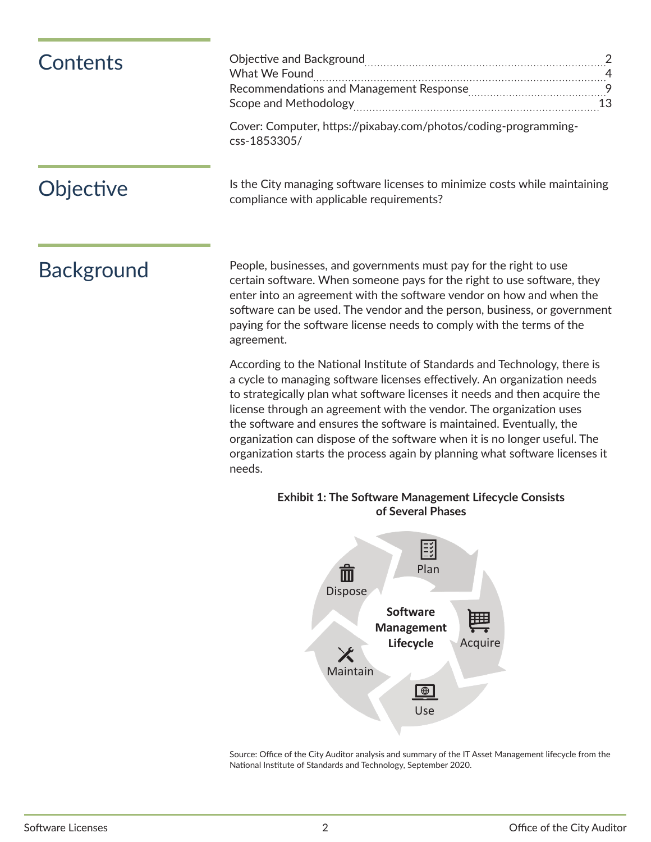| What We Found<br>13                                                                                                                                                                                                                                                                                                                                                                                                                                                                                                                                      |  |  |  |  |
|----------------------------------------------------------------------------------------------------------------------------------------------------------------------------------------------------------------------------------------------------------------------------------------------------------------------------------------------------------------------------------------------------------------------------------------------------------------------------------------------------------------------------------------------------------|--|--|--|--|
| Cover: Computer, https://pixabay.com/photos/coding-programming-<br>css-1853305/                                                                                                                                                                                                                                                                                                                                                                                                                                                                          |  |  |  |  |
| Is the City managing software licenses to minimize costs while maintaining<br>compliance with applicable requirements?                                                                                                                                                                                                                                                                                                                                                                                                                                   |  |  |  |  |
| People, businesses, and governments must pay for the right to use<br>certain software. When someone pays for the right to use software, they<br>enter into an agreement with the software vendor on how and when the<br>software can be used. The vendor and the person, business, or government<br>paying for the software license needs to comply with the terms of the<br>agreement.                                                                                                                                                                  |  |  |  |  |
| According to the National Institute of Standards and Technology, there is<br>a cycle to managing software licenses effectively. An organization needs<br>to strategically plan what software licenses it needs and then acquire the<br>license through an agreement with the vendor. The organization uses<br>the software and ensures the software is maintained. Eventually, the<br>organization can dispose of the software when it is no longer useful. The<br>organization starts the process again by planning what software licenses it<br>needs. |  |  |  |  |
| <b>Exhibit 1: The Software Management Lifecycle Consists</b><br>of Several Phases                                                                                                                                                                                                                                                                                                                                                                                                                                                                        |  |  |  |  |
| Eš<br>Plan<br>面<br>Dispose<br><b>Software</b><br>靊<br><b>Management</b><br>Lifecycle<br>Acquire<br>X<br>Maintain<br>$\boxed{\oplus}$<br>Use                                                                                                                                                                                                                                                                                                                                                                                                              |  |  |  |  |
|                                                                                                                                                                                                                                                                                                                                                                                                                                                                                                                                                          |  |  |  |  |

Source: Office of the City Auditor analysis and summary of the IT Asset Management lifecycle from the National Institute of Standards and Technology, September 2020.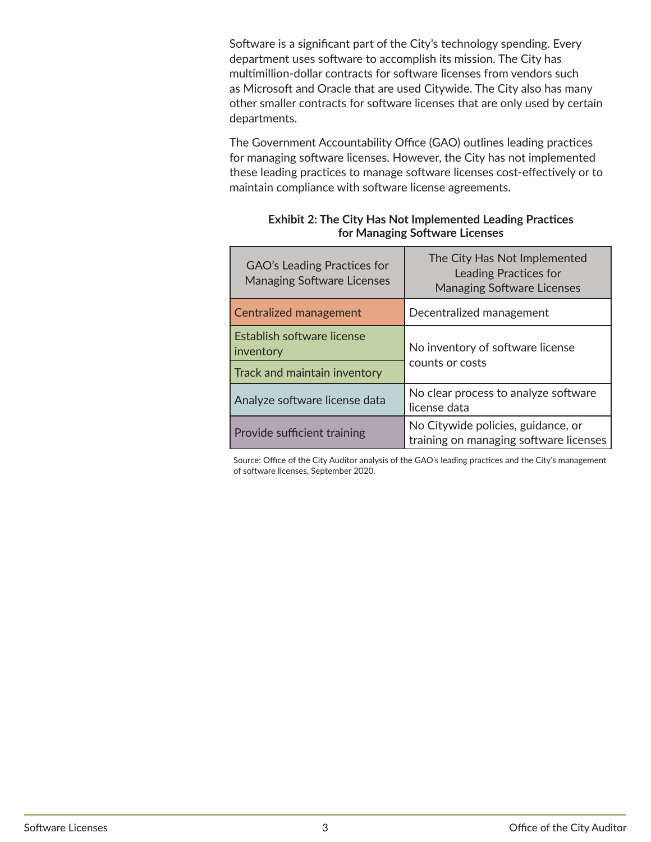Software is a significant part of the City's technology spending. Every department uses software to accomplish its mission. The City has multimillion-dollar contracts for software licenses from vendors such as Microsoft and Oracle that are used Citywide. The City also has many other smaller contracts for software licenses that are only used by certain departments.

The Government Accountability Office (GAO) outlines leading practices for managing software licenses. However, the City has not implemented these leading practices to manage software licenses cost-effectively or to maintain compliance with software license agreements.

| Exhibit 2: The City Has Not Implemented Leading Practices |  |
|-----------------------------------------------------------|--|
| for Managing Software Licenses                            |  |

| <b>GAO's Leading Practices for</b><br><b>Managing Software Licenses</b> | The City Has Not Implemented<br><b>Leading Practices for</b><br><b>Managing Software Licenses</b> |  |  |
|-------------------------------------------------------------------------|---------------------------------------------------------------------------------------------------|--|--|
| Centralized management                                                  | Decentralized management                                                                          |  |  |
| Establish software license<br>inventory                                 | No inventory of software license<br>counts or costs                                               |  |  |
| Track and maintain inventory                                            |                                                                                                   |  |  |
| Analyze software license data                                           | No clear process to analyze software<br>license data                                              |  |  |
| Provide sufficient training                                             | No Citywide policies, guidance, or<br>training on managing software licenses                      |  |  |

Source: Office of the City Auditor analysis of the GAO's leading practices and the City's management of software licenses, September 2020.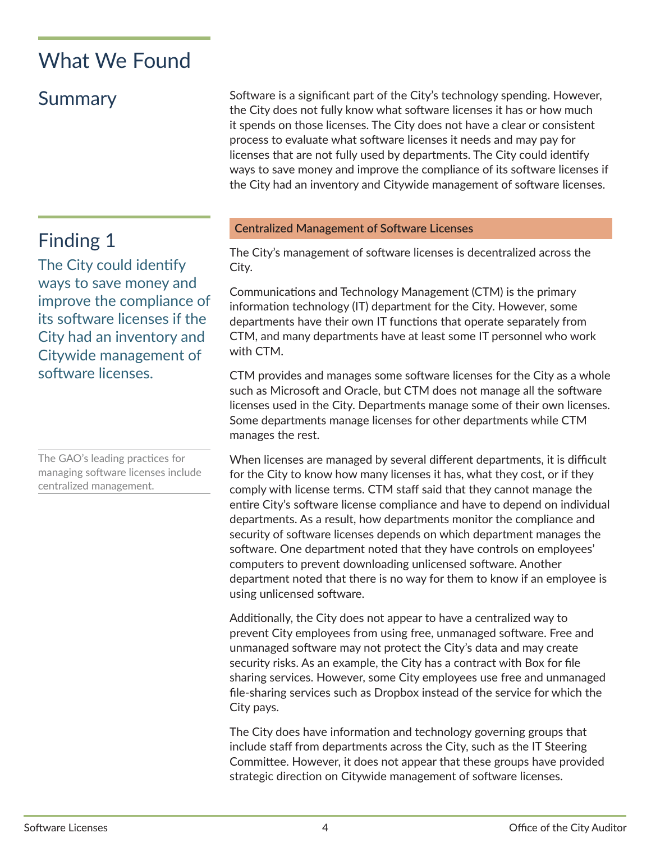# <span id="page-3-0"></span>What We Found

### **Summary**

Software is a significant part of the City's technology spending. However, the City does not fully know what software licenses it has or how much it spends on those licenses. The City does not have a clear or consistent process to evaluate what software licenses it needs and may pay for licenses that are not fully used by departments. The City could identify ways to save money and improve the compliance of its software licenses if the City had an inventory and Citywide management of software licenses.

### Finding 1

The City could identify ways to save money and improve the compliance of its software licenses if the City had an inventory and Citywide management of software licenses.

The GAO's leading practices for managing software licenses include centralized management.

### **Centralized Management of Software Licenses**

The City's management of software licenses is decentralized across the City.

Communications and Technology Management (CTM) is the primary information technology (IT) department for the City. However, some departments have their own IT functions that operate separately from CTM, and many departments have at least some IT personnel who work with CTM.

CTM provides and manages some software licenses for the City as a whole such as Microsoft and Oracle, but CTM does not manage all the software licenses used in the City. Departments manage some of their own licenses. Some departments manage licenses for other departments while CTM manages the rest.

When licenses are managed by several different departments, it is difficult for the City to know how many licenses it has, what they cost, or if they comply with license terms. CTM staff said that they cannot manage the entire City's software license compliance and have to depend on individual departments. As a result, how departments monitor the compliance and security of software licenses depends on which department manages the software. One department noted that they have controls on employees' computers to prevent downloading unlicensed software. Another department noted that there is no way for them to know if an employee is using unlicensed software.

Additionally, the City does not appear to have a centralized way to prevent City employees from using free, unmanaged software. Free and unmanaged software may not protect the City's data and may create security risks. As an example, the City has a contract with Box for file sharing services. However, some City employees use free and unmanaged file-sharing services such as Dropbox instead of the service for which the City pays.

The City does have information and technology governing groups that include staff from departments across the City, such as the IT Steering Committee. However, it does not appear that these groups have provided strategic direction on Citywide management of software licenses.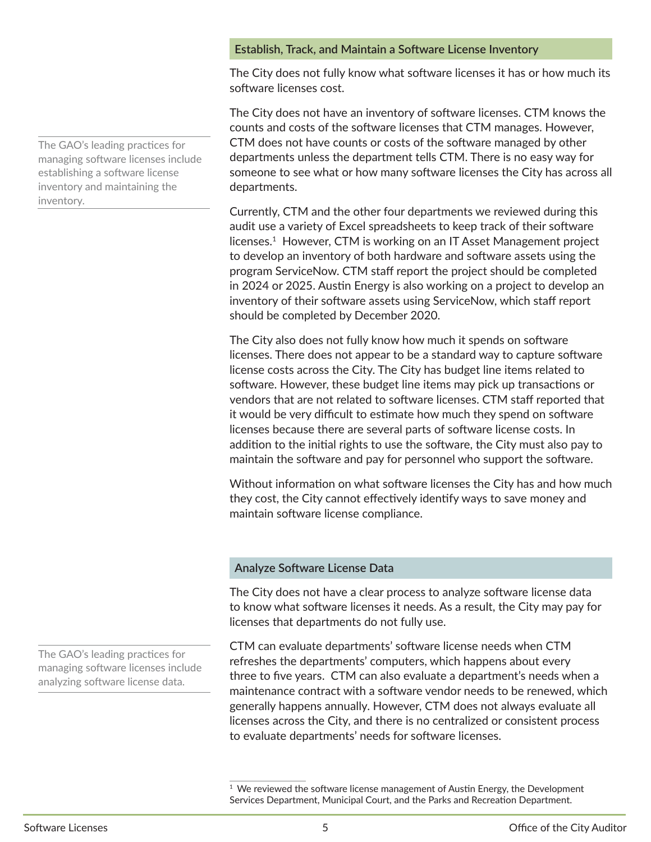#### **Establish, Track, and Maintain a Software License Inventory**

The City does not fully know what software licenses it has or how much its software licenses cost.

The City does not have an inventory of software licenses. CTM knows the counts and costs of the software licenses that CTM manages. However, CTM does not have counts or costs of the software managed by other departments unless the department tells CTM. There is no easy way for someone to see what or how many software licenses the City has across all departments.

Currently, CTM and the other four departments we reviewed during this audit use a variety of Excel spreadsheets to keep track of their software licenses.<sup>1</sup> However, CTM is working on an IT Asset Management project to develop an inventory of both hardware and software assets using the program ServiceNow. CTM staff report the project should be completed in 2024 or 2025. Austin Energy is also working on a project to develop an inventory of their software assets using ServiceNow, which staff report should be completed by December 2020.

The City also does not fully know how much it spends on software licenses. There does not appear to be a standard way to capture software license costs across the City. The City has budget line items related to software. However, these budget line items may pick up transactions or vendors that are not related to software licenses. CTM staff reported that it would be very difficult to estimate how much they spend on software licenses because there are several parts of software license costs. In addition to the initial rights to use the software, the City must also pay to maintain the software and pay for personnel who support the software.

Without information on what software licenses the City has and how much they cost, the City cannot effectively identify ways to save money and maintain software license compliance.

#### **Analyze Software License Data**

The City does not have a clear process to analyze software license data to know what software licenses it needs. As a result, the City may pay for licenses that departments do not fully use.

CTM can evaluate departments' software license needs when CTM refreshes the departments' computers, which happens about every three to five years. CTM can also evaluate a department's needs when a maintenance contract with a software vendor needs to be renewed, which generally happens annually. However, CTM does not always evaluate all licenses across the City, and there is no centralized or consistent process to evaluate departments' needs for software licenses.

The GAO's leading practices for managing software licenses include establishing a software license inventory and maintaining the inventory.

The GAO's leading practices for managing software licenses include analyzing software license data.

<sup>&</sup>lt;sup>1</sup> We reviewed the software license management of Austin Energy, the Development Services Department, Municipal Court, and the Parks and Recreation Department.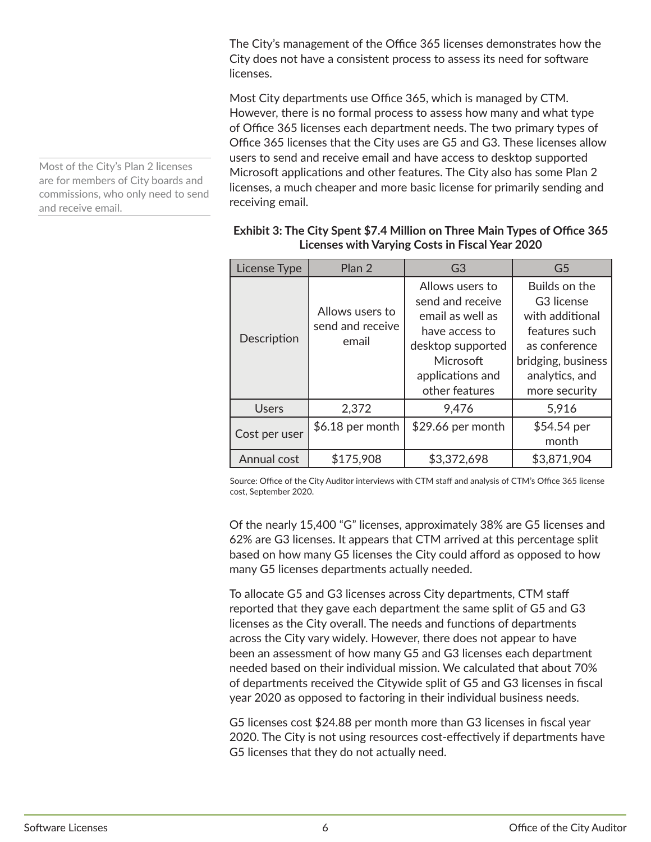The City's management of the Office 365 licenses demonstrates how the City does not have a consistent process to assess its need for software licenses.

Most City departments use Office 365, which is managed by CTM. However, there is no formal process to assess how many and what type of Office 365 licenses each department needs. The two primary types of Office 365 licenses that the City uses are G5 and G3. These licenses allow users to send and receive email and have access to desktop supported Microsoft applications and other features. The City also has some Plan 2 licenses, a much cheaper and more basic license for primarily sending and receiving email.

| License Type  | Plan 2                                       | G <sub>3</sub>                                                                                                                                    | G <sub>5</sub>                                                                                                                                        |
|---------------|----------------------------------------------|---------------------------------------------------------------------------------------------------------------------------------------------------|-------------------------------------------------------------------------------------------------------------------------------------------------------|
| Description   | Allows users to<br>send and receive<br>email | Allows users to<br>send and receive<br>email as well as<br>have access to<br>desktop supported<br>Microsoft<br>applications and<br>other features | Builds on the<br>G <sub>3</sub> license<br>with additional<br>features such<br>as conference<br>bridging, business<br>analytics, and<br>more security |
| <b>Users</b>  | 2,372                                        | 9,476                                                                                                                                             | 5,916                                                                                                                                                 |
| Cost per user | $$6.18$ per month                            | $$29.66$ per month                                                                                                                                | \$54.54 per<br>month                                                                                                                                  |
| Annual cost   | \$175,908                                    | \$3,372,698                                                                                                                                       | \$3,871,904                                                                                                                                           |

### **Exhibit 3: The City Spent \$7.4 Million on Three Main Types of Office 365 Licenses with Varying Costs in Fiscal Year 2020**

Source: Office of the City Auditor interviews with CTM staff and analysis of CTM's Office 365 license cost, September 2020.

Of the nearly 15,400 "G" licenses, approximately 38% are G5 licenses and 62% are G3 licenses. It appears that CTM arrived at this percentage split based on how many G5 licenses the City could afford as opposed to how many G5 licenses departments actually needed.

To allocate G5 and G3 licenses across City departments, CTM staff reported that they gave each department the same split of G5 and G3 licenses as the City overall. The needs and functions of departments across the City vary widely. However, there does not appear to have been an assessment of how many G5 and G3 licenses each department needed based on their individual mission. We calculated that about 70% of departments received the Citywide split of G5 and G3 licenses in fiscal year 2020 as opposed to factoring in their individual business needs.

G5 licenses cost \$24.88 per month more than G3 licenses in fiscal year 2020. The City is not using resources cost-effectively if departments have G5 licenses that they do not actually need.

Most of the City's Plan 2 licenses are for members of City boards and commissions, who only need to send and receive email.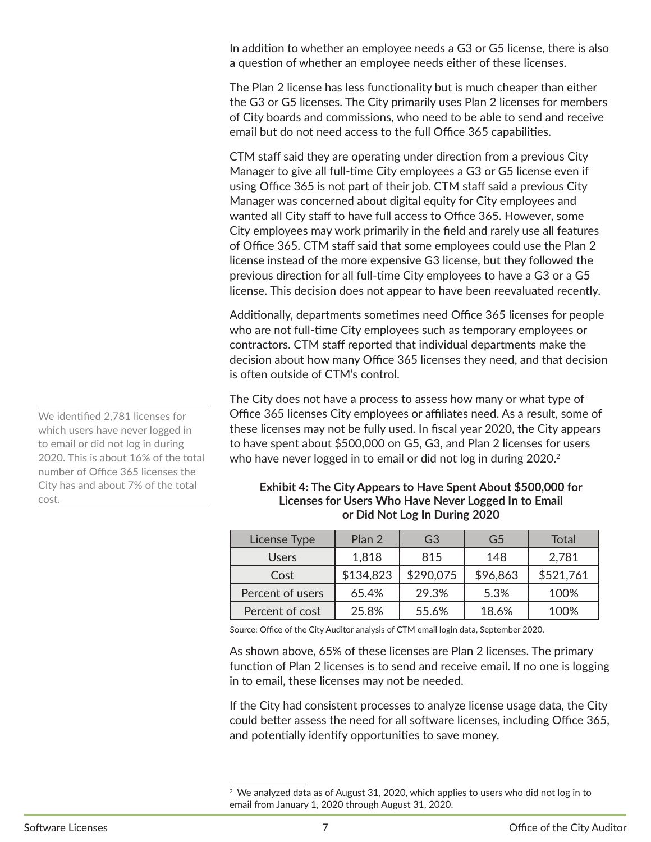In addition to whether an employee needs a G3 or G5 license, there is also a question of whether an employee needs either of these licenses.

The Plan 2 license has less functionality but is much cheaper than either the G3 or G5 licenses. The City primarily uses Plan 2 licenses for members of City boards and commissions, who need to be able to send and receive email but do not need access to the full Office 365 capabilities.

CTM staff said they are operating under direction from a previous City Manager to give all full-time City employees a G3 or G5 license even if using Office 365 is not part of their job. CTM staff said a previous City Manager was concerned about digital equity for City employees and wanted all City staff to have full access to Office 365. However, some City employees may work primarily in the field and rarely use all features of Office 365. CTM staff said that some employees could use the Plan 2 license instead of the more expensive G3 license, but they followed the previous direction for all full-time City employees to have a G3 or a G5 license. This decision does not appear to have been reevaluated recently.

Additionally, departments sometimes need Office 365 licenses for people who are not full-time City employees such as temporary employees or contractors. CTM staff reported that individual departments make the decision about how many Office 365 licenses they need, and that decision is often outside of CTM's control.

The City does not have a process to assess how many or what type of Office 365 licenses City employees or affiliates need. As a result, some of these licenses may not be fully used. In fiscal year 2020, the City appears to have spent about \$500,000 on G5, G3, and Plan 2 licenses for users who have never logged in to email or did not log in during 2020.<sup>2</sup>

| Exhibit 4: The City Appears to Have Spent About \$500,000 for |
|---------------------------------------------------------------|
| Licenses for Users Who Have Never Logged In to Email          |
| or Did Not Log In During 2020                                 |

| License Type     | Plan 2    | G <sub>3</sub> | G5       | <b>Total</b> |
|------------------|-----------|----------------|----------|--------------|
| <b>Users</b>     | 1,818     | 815            | 148      | 2,781        |
| Cost             | \$134,823 | \$290,075      | \$96,863 | \$521,761    |
| Percent of users | 65.4%     | 29.3%          | 5.3%     | 100%         |
| Percent of cost  | 25.8%     | 55.6%          | 18.6%    | 100%         |

Source: Office of the City Auditor analysis of CTM email login data, September 2020.

As shown above, 65% of these licenses are Plan 2 licenses. The primary function of Plan 2 licenses is to send and receive email. If no one is logging in to email, these licenses may not be needed.

If the City had consistent processes to analyze license usage data, the City could better assess the need for all software licenses, including Office 365, and potentially identify opportunities to save money.

We identified 2,781 licenses for which users have never logged in to email or did not log in during 2020. This is about 16% of the total number of Office 365 licenses the City has and about 7% of the total cost.

 $2$  We analyzed data as of August 31, 2020, which applies to users who did not log in to email from January 1, 2020 through August 31, 2020.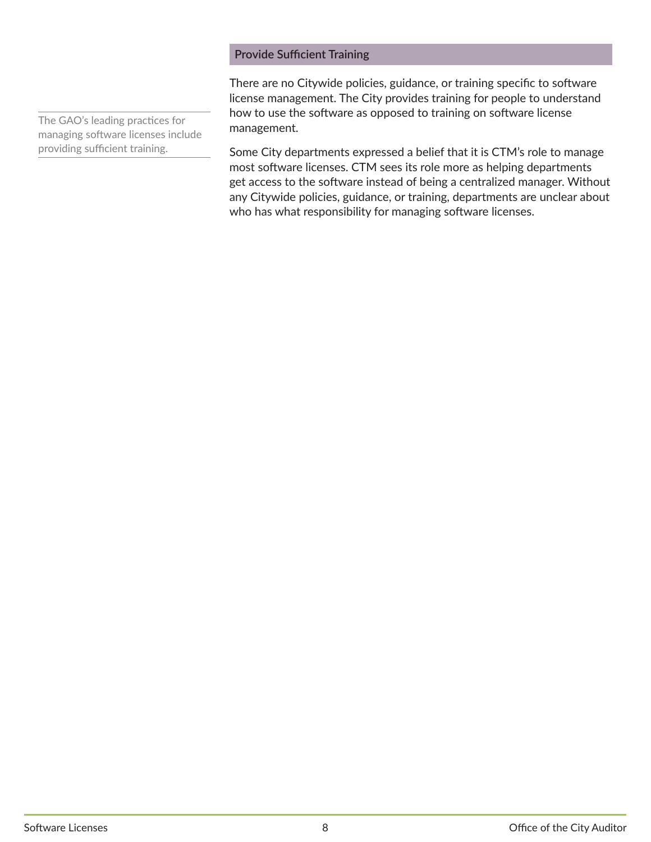#### **Provide Sufficient Training**

There are no Citywide policies, guidance, or training specific to software license management. The City provides training for people to understand how to use the software as opposed to training on software license management.

Some City departments expressed a belief that it is CTM's role to manage most software licenses. CTM sees its role more as helping departments get access to the software instead of being a centralized manager. Without any Citywide policies, guidance, or training, departments are unclear about who has what responsibility for managing software licenses.

The GAO's leading practices for managing software licenses include providing sufficient training.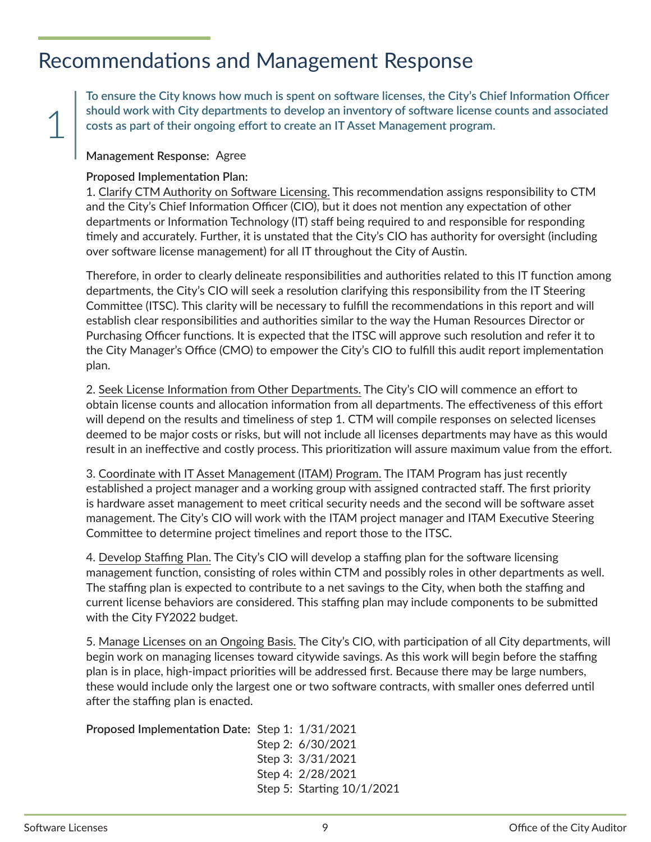### <span id="page-8-0"></span>Recommendations and Management Response

1

**To ensure the City knows how much is spent on software licenses, the City's Chief Information Officer should work with City departments to develop an inventory of software license counts and associated costs as part of their ongoing effort to create an IT Asset Management program.** 

**Management Response:** Agree

### **Proposed Implementation Plan:**

1. Clarify CTM Authority on Software Licensing. This recommendation assigns responsibility to CTM and the City's Chief Information Officer (CIO), but it does not mention any expectation of other departments or Information Technology (IT) staff being required to and responsible for responding timely and accurately. Further, it is unstated that the City's CIO has authority for oversight (including over software license management) for all IT throughout the City of Austin.

Therefore, in order to clearly delineate responsibilities and authorities related to this IT function among departments, the City's CIO will seek a resolution clarifying this responsibility from the IT Steering Committee (ITSC). This clarity will be necessary to fulfill the recommendations in this report and will establish clear responsibilities and authorities similar to the way the Human Resources Director or Purchasing Officer functions. It is expected that the ITSC will approve such resolution and refer it to the City Manager's Office (CMO) to empower the City's CIO to fulfill this audit report implementation plan.

2. Seek License Information from Other Departments. The City's CIO will commence an effort to obtain license counts and allocation information from all departments. The effectiveness of this effort will depend on the results and timeliness of step 1. CTM will compile responses on selected licenses deemed to be major costs or risks, but will not include all licenses departments may have as this would result in an ineffective and costly process. This prioritization will assure maximum value from the effort.

3. Coordinate with IT Asset Management (ITAM) Program. The ITAM Program has just recently established a project manager and a working group with assigned contracted staff. The first priority is hardware asset management to meet critical security needs and the second will be software asset management. The City's CIO will work with the ITAM project manager and ITAM Executive Steering Committee to determine project timelines and report those to the ITSC.

4. Develop Staffing Plan. The City's CIO will develop a staffing plan for the software licensing management function, consisting of roles within CTM and possibly roles in other departments as well. The staffing plan is expected to contribute to a net savings to the City, when both the staffing and current license behaviors are considered. This staffing plan may include components to be submitted with the City FY2022 budget.

5. Manage Licenses on an Ongoing Basis. The City's CIO, with participation of all City departments, will begin work on managing licenses toward citywide savings. As this work will begin before the staffing plan is in place, high-impact priorities will be addressed first. Because there may be large numbers, these would include only the largest one or two software contracts, with smaller ones deferred until after the staffing plan is enacted.

**Proposed Implementation Date:** Step 1: 1/31/2021 Step 2: 6/30/2021 Step 3: 3/31/2021 Step 4: 2/28/2021 Step 5: Starting 10/1/2021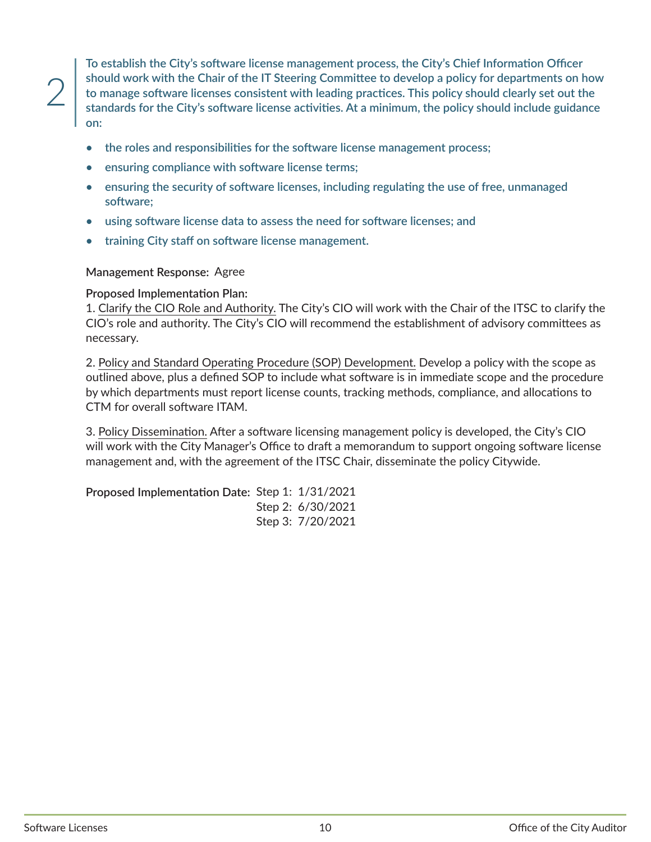**To establish the City's software license management process, the City's Chief Information Officer should work with the Chair of the IT Steering Committee to develop a policy for departments on how to manage software licenses consistent with leading practices. This policy should clearly set out the standards for the City's software license activities. At a minimum, the policy should include guidance on:**

- **• the roles and responsibilities for the software license management process;**
- **• ensuring compliance with software license terms;**
- **• ensuring the security of software licenses, including regulating the use of free, unmanaged software;**
- **• using software license data to assess the need for software licenses; and**
- **• training City staff on software license management.**

#### **Management Response:** Agree

#### **Proposed Implementation Plan:**

1. Clarify the CIO Role and Authority. The City's CIO will work with the Chair of the ITSC to clarify the CIO's role and authority. The City's CIO will recommend the establishment of advisory committees as necessary.

2. Policy and Standard Operating Procedure (SOP) Development. Develop a policy with the scope as outlined above, plus a defined SOP to include what software is in immediate scope and the procedure by which departments must report license counts, tracking methods, compliance, and allocations to CTM for overall software ITAM.

3. Policy Dissemination. After a software licensing management policy is developed, the City's CIO will work with the City Manager's Office to draft a memorandum to support ongoing software license management and, with the agreement of the ITSC Chair, disseminate the policy Citywide.

**Proposed Implementation Date:** Step 1: 1/31/2021 Step 2: 6/30/2021 Step 3: 7/20/2021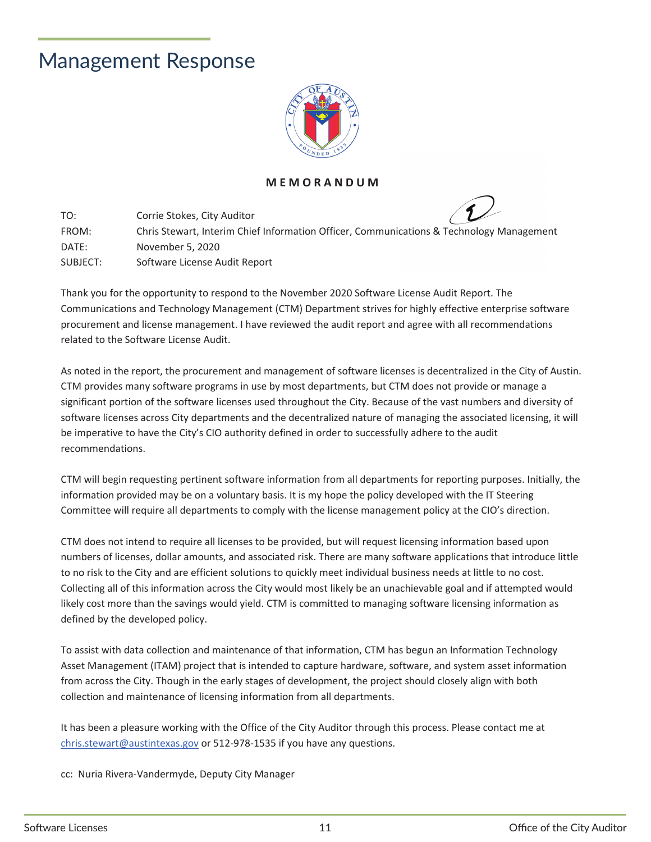### Management Response



#### **M E M O R A N D U M**

TO: Corrie Stokes, City Auditor FROM: Chris Stewart, Interim Chief Information Officer, Communications & Technology Management DATE: November 5, 2020 SUBJECT: Software License Audit Report

Thank you for the opportunity to respond to the November 2020 Software License Audit Report. The Communications and Technology Management (CTM) Department strives for highly effective enterprise software procurement and license management. I have reviewed the audit report and agree with all recommendations related to the Software License Audit.

As noted in the report, the procurement and management of software licenses is decentralized in the City of Austin. CTM provides many software programs in use by most departments, but CTM does not provide or manage a significant portion of the software licenses used throughout the City. Because of the vast numbers and diversity of software licenses across City departments and the decentralized nature of managing the associated licensing, it will be imperative to have the City's CIO authority defined in order to successfully adhere to the audit recommendations.

CTM will begin requesting pertinent software information from all departments for reporting purposes. Initially, the information provided may be on a voluntary basis. It is my hope the policy developed with the IT Steering Committee will require all departments to comply with the license management policy at the CIO's direction.

CTM does not intend to require all licenses to be provided, but will request licensing information based upon numbers of licenses, dollar amounts, and associated risk. There are many software applications that introduce little to no risk to the City and are efficient solutions to quickly meet individual business needs at little to no cost. Collecting all of this information across the City would most likely be an unachievable goal and if attempted would likely cost more than the savings would yield. CTM is committed to managing software licensing information as defined by the developed policy.

To assist with data collection and maintenance of that information, CTM has begun an Information Technology Asset Management (ITAM) project that is intended to capture hardware, software, and system asset information from across the City. Though in the early stages of development, the project should closely align with both collection and maintenance of licensing information from all departments.

It has been a pleasure working with the Office of the City Auditor through this process. Please contact me at chris.stewart@austintexas.gov or 512-978-1535 if you have any questions.

cc: Nuria Rivera-Vandermyde, Deputy City Manager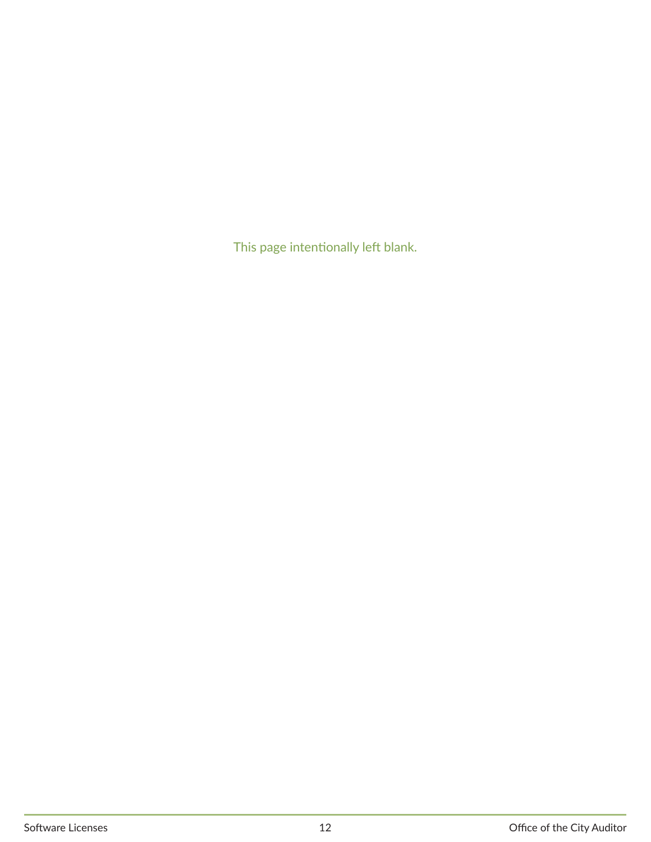This page intentionally left blank.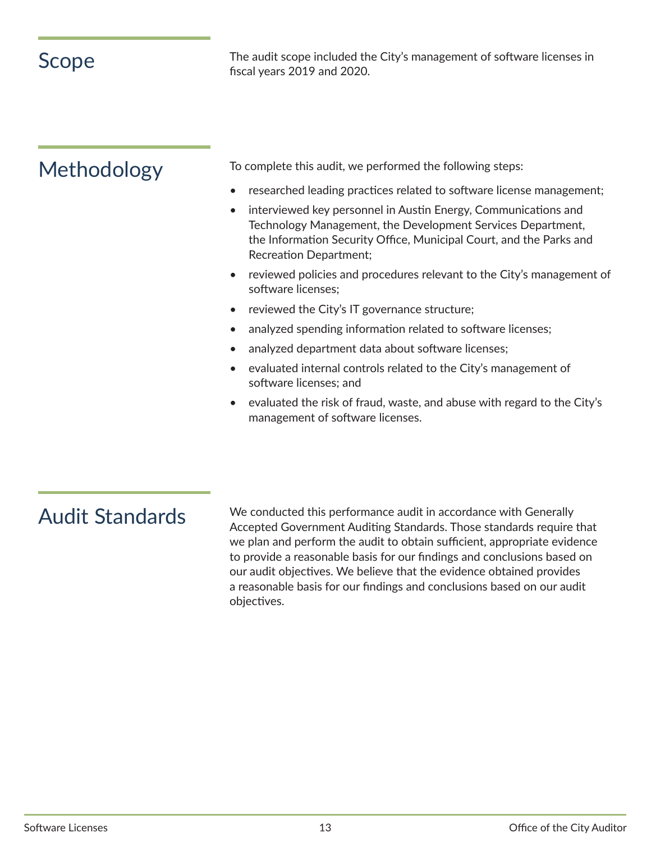### <span id="page-12-0"></span>Scope

The audit scope included the City's management of software licenses in fiscal years 2019 and 2020.

## Methodology

To complete this audit, we performed the following steps:

- researched leading practices related to software license management;
- interviewed key personnel in Austin Energy, Communications and Technology Management, the Development Services Department, the Information Security Office, Municipal Court, and the Parks and Recreation Department;
- reviewed policies and procedures relevant to the City's management of software licenses;
- reviewed the City's IT governance structure;
- analyzed spending information related to software licenses;
- analyzed department data about software licenses;
- evaluated internal controls related to the City's management of software licenses; and
- evaluated the risk of fraud, waste, and abuse with regard to the City's management of software licenses.

### Audit Standards

We conducted this performance audit in accordance with Generally Accepted Government Auditing Standards. Those standards require that we plan and perform the audit to obtain sufficient, appropriate evidence to provide a reasonable basis for our findings and conclusions based on our audit objectives. We believe that the evidence obtained provides a reasonable basis for our findings and conclusions based on our audit objectives.